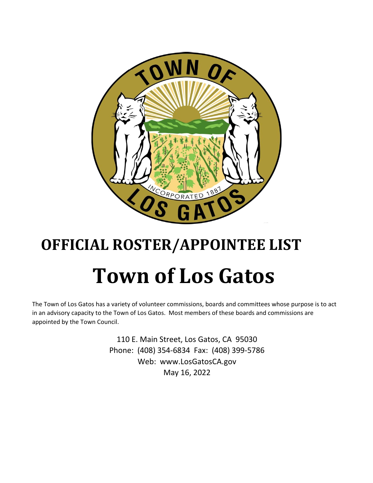

# **OFFICIAL ROSTER/APPOINTEE LIST Town of Los Gatos**

The Town of Los Gatos has a variety of volunteer commissions, boards and committees whose purpose is to act in an advisory capacity to the Town of Los Gatos. Most members of these boards and commissions are appointed by the Town Council.

> 110 E. Main Street, Los Gatos, CA 95030 Phone: (408) 354-6834 Fax: (408) 399-5786 Web: www.LosGatosCA.gov May 16, 2022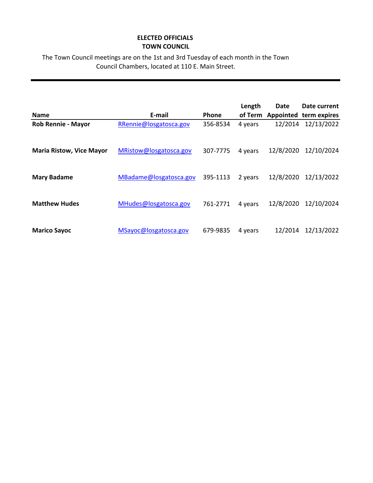#### **ELECTED OFFICIALS TOWN COUNCIL**

The Town Council meetings are on the 1st and 3rd Tuesday of each month in the Town Council Chambers, located at 110 E. Main Street.

|                                 |                        |          | Length  | Date      | Date current           |
|---------------------------------|------------------------|----------|---------|-----------|------------------------|
| <b>Name</b>                     | E-mail                 | Phone    | of Term |           | Appointed term expires |
| <b>Rob Rennie - Mayor</b>       | RRennie@losgatosca.gov | 356-8534 | 4 years | 12/2014   | 12/13/2022             |
| <b>Maria Ristow, Vice Mayor</b> | MRistow@losgatosca.gov | 307-7775 | 4 years | 12/8/2020 | 12/10/2024             |
| <b>Mary Badame</b>              | MBadame@losgatosca.gov | 395-1113 | 2 years | 12/8/2020 | 12/13/2022             |
| <b>Matthew Hudes</b>            | MHudes@losgatosca.gov  | 761-2771 | 4 years | 12/8/2020 | 12/10/2024             |
| <b>Marico Sayoc</b>             | MSayoc@losgatosca.gov  | 679-9835 | 4 years | 12/2014   | 12/13/2022             |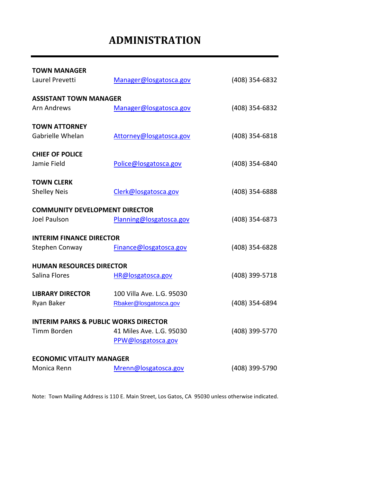# **ADMINISTRATION**

| <b>TOWN MANAGER</b>                              |                           |                |
|--------------------------------------------------|---------------------------|----------------|
| Laurel Prevetti                                  | Manager@losgatosca.gov    | (408) 354-6832 |
| <b>ASSISTANT TOWN MANAGER</b>                    |                           |                |
| <b>Arn Andrews</b>                               | Manager@losgatosca.gov    | (408) 354-6832 |
| <b>TOWN ATTORNEY</b>                             |                           |                |
| Gabrielle Whelan                                 | Attorney@losgatosca.gov   | (408) 354-6818 |
| <b>CHIEF OF POLICE</b>                           |                           |                |
| Jamie Field                                      | Police@losgatosca.gov     | (408) 354-6840 |
| <b>TOWN CLERK</b>                                |                           |                |
| <b>Shelley Neis</b>                              | Clerk@losgatosca.gov      | (408) 354-6888 |
| <b>COMMUNITY DEVELOPMENT DIRECTOR</b>            |                           |                |
| Joel Paulson                                     | Planning@losgatosca.gov   | (408) 354-6873 |
| <b>INTERIM FINANCE DIRECTOR</b>                  |                           |                |
| Stephen Conway                                   | Finance@losgatosca.gov    | (408) 354-6828 |
| <b>HUMAN RESOURCES DIRECTOR</b>                  |                           |                |
| Salina Flores                                    | HR@losgatosca.gov         | (408) 399-5718 |
| <b>LIBRARY DIRECTOR</b>                          | 100 Villa Ave. L.G. 95030 |                |
| Ryan Baker                                       | Rbaker@losgatosca.gov     | (408) 354-6894 |
| <b>INTERIM PARKS &amp; PUBLIC WORKS DIRECTOR</b> |                           |                |
| <b>Timm Borden</b>                               | 41 Miles Ave. L.G. 95030  | (408) 399-5770 |
|                                                  | PPW@losgatosca.gov        |                |
| <b>ECONOMIC VITALITY MANAGER</b>                 |                           |                |
| Monica Renn                                      | Mrenn@losgatosca.gov      | (408) 399-5790 |

Note: Town Mailing Address is 110 E. Main Street, Los Gatos, CA 95030 unless otherwise indicated.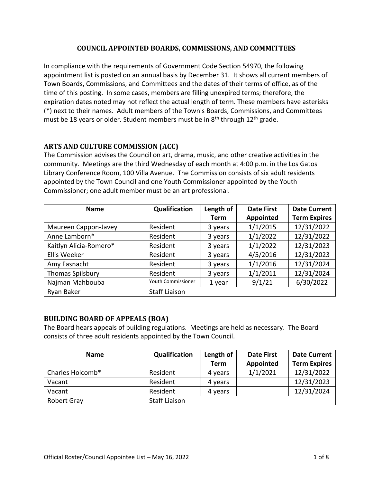#### **COUNCIL APPOINTED BOARDS, COMMISSIONS, AND COMMITTEES**

In compliance with the requirements of Government Code Section 54970, the following appointment list is posted on an annual basis by December 31. It shows all current members of Town Boards, Commissions, and Committees and the dates of their terms of office, as of the time of this posting. In some cases, members are filling unexpired terms; therefore, the expiration dates noted may not reflect the actual length of term. These members have asterisks (\*) next to their names. Adult members of the Town's Boards, Commissions, and Committees must be 18 years or older. Student members must be in 8<sup>th</sup> through 12<sup>th</sup> grade.

# **ARTS AND CULTURE COMMISSION (ACC)**

The Commission advises the Council on art, drama, music, and other creative activities in the community. Meetings are the third Wednesday of each month at 4:00 p.m. in the Los Gatos Library Conference Room, 100 Villa Avenue. The Commission consists of six adult residents appointed by the Town Council and one Youth Commissioner appointed by the Youth Commissioner; one adult member must be an art professional.

| <b>Name</b>             | Qualification             | Length of   | <b>Date First</b> | <b>Date Current</b> |
|-------------------------|---------------------------|-------------|-------------------|---------------------|
|                         |                           | <b>Term</b> | Appointed         | <b>Term Expires</b> |
| Maureen Cappon-Javey    | Resident                  | 3 years     | 1/1/2015          | 12/31/2022          |
| Anne Lamborn*           | Resident                  | 3 years     | 1/1/2022          | 12/31/2022          |
| Kaitlyn Alicia-Romero*  | Resident                  | 3 years     | 1/1/2022          | 12/31/2023          |
| Ellis Weeker            | Resident                  | 3 years     | 4/5/2016          | 12/31/2023          |
| Amy Fasnacht            | Resident                  | 3 years     | 1/1/2016          | 12/31/2024          |
| <b>Thomas Spilsbury</b> | Resident                  | 3 years     | 1/1/2011          | 12/31/2024          |
| Najman Mahbouba         | <b>Youth Commissioner</b> | 1 year      | 9/1/21            | 6/30/2022           |
| Ryan Baker              | <b>Staff Liaison</b>      |             |                   |                     |

# **BUILDING BOARD OF APPEALS (BOA)**

The Board hears appeals of building regulations. Meetings are held as necessary. The Board consists of three adult residents appointed by the Town Council.

| <b>Name</b>        | Qualification        | Length of   | <b>Date First</b> | <b>Date Current</b> |
|--------------------|----------------------|-------------|-------------------|---------------------|
|                    |                      | <b>Term</b> | Appointed         | <b>Term Expires</b> |
| Charles Holcomb*   | Resident             | 4 years     | 1/1/2021          | 12/31/2022          |
| Vacant             | Resident             | 4 years     |                   | 12/31/2023          |
| Vacant             | Resident             | 4 years     |                   | 12/31/2024          |
| <b>Robert Gray</b> | <b>Staff Liaison</b> |             |                   |                     |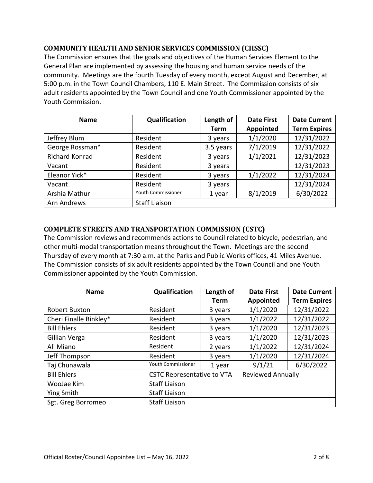#### **COMMUNITY HEALTH AND SENIOR SERVICES COMMISSION (CHSSC)**

The Commission ensures that the goals and objectives of the Human Services Element to the General Plan are implemented by assessing the housing and human service needs of the community. Meetings are the fourth Tuesday of every month, except August and December, at 5:00 p.m. in the Town Council Chambers, 110 E. Main Street. The Commission consists of six adult residents appointed by the Town Council and one Youth Commissioner appointed by the Youth Commission.

| <b>Name</b>           | Qualification             | Length of   | <b>Date First</b> | <b>Date Current</b> |
|-----------------------|---------------------------|-------------|-------------------|---------------------|
|                       |                           | <b>Term</b> | Appointed         | <b>Term Expires</b> |
| Jeffrey Blum          | Resident                  | 3 years     | 1/1/2020          | 12/31/2022          |
| George Rossman*       | Resident                  | 3.5 years   | 7/1/2019          | 12/31/2022          |
| <b>Richard Konrad</b> | Resident                  | 3 years     | 1/1/2021          | 12/31/2023          |
| Vacant                | Resident                  | 3 years     |                   | 12/31/2023          |
| Eleanor Yick*         | Resident                  | 3 years     | 1/1/2022          | 12/31/2024          |
| Vacant                | Resident                  | 3 years     |                   | 12/31/2024          |
| Arshia Mathur         | <b>Youth Commissioner</b> | 1 year      | 8/1/2019          | 6/30/2022           |
| Arn Andrews           | <b>Staff Liaison</b>      |             |                   |                     |

#### **COMPLETE STREETS AND TRANSPORTATION COMMISSION (CSTC)**

The Commission reviews and recommends actions to Council related to bicycle, pedestrian, and other multi-modal transportation means throughout the Town. Meetings are the second Thursday of every month at 7:30 a.m. at the Parks and Public Works offices, 41 Miles Avenue. The Commission consists of six adult residents appointed by the Town Council and one Youth Commissioner appointed by the Youth Commission.

| <b>Name</b>            | Qualification                                                 | Length of   | <b>Date First</b> | <b>Date Current</b> |
|------------------------|---------------------------------------------------------------|-------------|-------------------|---------------------|
|                        |                                                               | <b>Term</b> | Appointed         | <b>Term Expires</b> |
| <b>Robert Buxton</b>   | Resident                                                      | 3 years     | 1/1/2020          | 12/31/2022          |
| Cheri Finalle Binkley* | Resident                                                      | 3 years     | 1/1/2022          | 12/31/2022          |
| <b>Bill Ehlers</b>     | Resident                                                      | 3 years     | 1/1/2020          | 12/31/2023          |
| Gillian Verga          | Resident                                                      | 3 years     | 1/1/2020          | 12/31/2023          |
| Ali Miano              | Resident                                                      | 2 years     | 1/1/2022          | 12/31/2024          |
| Jeff Thompson          | Resident                                                      | 3 years     | 1/1/2020          | 12/31/2024          |
| Taj Chunawala          | <b>Youth Commissioner</b>                                     | 1 year      | 9/1/21            | 6/30/2022           |
| <b>Bill Ehlers</b>     | <b>Reviewed Annually</b><br><b>CSTC Representative to VTA</b> |             |                   |                     |
| WooJae Kim             | <b>Staff Liaison</b>                                          |             |                   |                     |
| Ying Smith             | <b>Staff Liaison</b>                                          |             |                   |                     |
| Sgt. Greg Borromeo     | <b>Staff Liaison</b>                                          |             |                   |                     |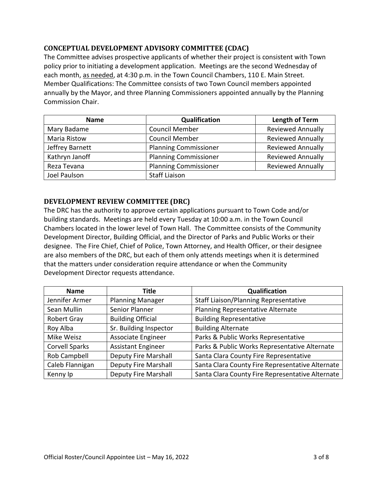#### **CONCEPTUAL DEVELOPMENT ADVISORY COMMITTEE (CDAC)**

The Committee advises prospective applicants of whether their project is consistent with Town policy prior to initiating a development application. Meetings are the second Wednesday of each month, as needed, at 4:30 p.m. in the Town Council Chambers, 110 E. Main Street. Member Qualifications: The Committee consists of two Town Council members appointed annually by the Mayor, and three Planning Commissioners appointed annually by the Planning Commission Chair.

| <b>Name</b>     | Qualification                | Length of Term           |
|-----------------|------------------------------|--------------------------|
| Mary Badame     | <b>Council Member</b>        | <b>Reviewed Annually</b> |
| Maria Ristow    | <b>Council Member</b>        | <b>Reviewed Annually</b> |
| Jeffrey Barnett | <b>Planning Commissioner</b> | <b>Reviewed Annually</b> |
| Kathryn Janoff  | <b>Planning Commissioner</b> | <b>Reviewed Annually</b> |
| Reza Tevana     | <b>Planning Commissioner</b> | <b>Reviewed Annually</b> |
| Joel Paulson    | <b>Staff Liaison</b>         |                          |

#### **DEVELOPMENT REVIEW COMMITTEE (DRC)**

The DRC has the authority to approve certain applications pursuant to Town Code and/or building standards. Meetings are held every Tuesday at 10:00 a.m. in the Town Council Chambers located in the lower level of Town Hall. The Committee consists of the Community Development Director, Building Official, and the Director of Parks and Public Works or their designee. The Fire Chief, Chief of Police, Town Attorney, and Health Officer, or their designee are also members of the DRC, but each of them only attends meetings when it is determined that the matters under consideration require attendance or when the Community Development Director requests attendance.

| <b>Name</b>           | Title                       | Qualification                                    |
|-----------------------|-----------------------------|--------------------------------------------------|
| Jennifer Armer        | <b>Planning Manager</b>     | <b>Staff Liaison/Planning Representative</b>     |
| Sean Mullin           | Senior Planner              | Planning Representative Alternate                |
| <b>Robert Gray</b>    | <b>Building Official</b>    | <b>Building Representative</b>                   |
| Roy Alba              | Sr. Building Inspector      | <b>Building Alternate</b>                        |
| Mike Weisz            | Associate Engineer          | Parks & Public Works Representative              |
| <b>Corvell Sparks</b> | <b>Assistant Engineer</b>   | Parks & Public Works Representative Alternate    |
| Rob Campbell          | <b>Deputy Fire Marshall</b> | Santa Clara County Fire Representative           |
| Caleb Flannigan       | <b>Deputy Fire Marshall</b> | Santa Clara County Fire Representative Alternate |
| Kenny Ip              | <b>Deputy Fire Marshall</b> | Santa Clara County Fire Representative Alternate |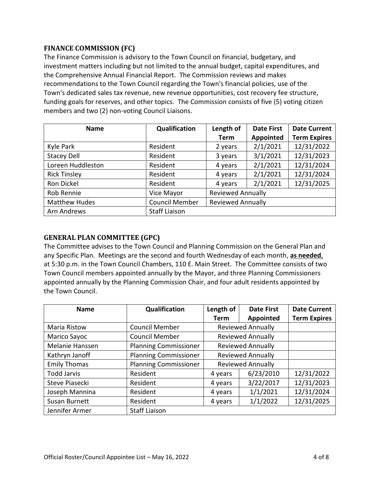#### **FINANCE COMMISSION (FC)**

The Finance Commission is advisory to the Town Council on financial, budgetary, and investment matters including but not limited to the annual budget, capital expenditures, and the Comprehensive Annual Financial Report. The Commission reviews and makes recommendations to the Town Council regarding the Town's financial policies, use of the Town's dedicated sales tax revenue, new revenue opportunities, cost recovery fee structure, funding goals for reserves, and other topics. The Commission consists of five (5) voting citizen members and two (2) non-voting Council Liaisons.

| <b>Name</b>          | Qualification         | Length of                | <b>Date First</b> | <b>Date Current</b> |  |
|----------------------|-----------------------|--------------------------|-------------------|---------------------|--|
|                      |                       | <b>Term</b>              | Appointed         | <b>Term Expires</b> |  |
| Kyle Park            | Resident              | 2 years                  | 2/1/2021          | 12/31/2022          |  |
| <b>Stacey Dell</b>   | Resident              | 3 years                  | 3/1/2021          | 12/31/2023          |  |
| Loreen Huddleston    | Resident              | 4 years                  | 2/1/2021          | 12/31/2024          |  |
| <b>Rick Tinsley</b>  | Resident              | 4 years                  | 2/1/2021          | 12/31/2024          |  |
| Ron Dickel           | Resident              | 4 years                  | 2/1/2021          | 12/31/2025          |  |
| Rob Rennie           | Vice Mayor            | <b>Reviewed Annually</b> |                   |                     |  |
| <b>Matthew Hudes</b> | <b>Council Member</b> | <b>Reviewed Annually</b> |                   |                     |  |
| Arn Andrews          | <b>Staff Liaison</b>  |                          |                   |                     |  |

#### **GENERAL PLAN COMMITTEE (GPC)**

The Committee advises to the Town Council and Planning Commission on the General Plan and any Specific Plan. Meetings are the second and fourth Wednesday of each month, **as needed**, at 5:30 p.m. in the Town Council Chambers, 110 E. Main Street. The Committee consists of two Town Council members appointed annually by the Mayor, and three Planning Commissioners appointed annually by the Planning Commission Chair, and four adult residents appointed by the Town Council.

| <b>Name</b>         | Qualification                | Length of                | <b>Date First</b>        | <b>Date Current</b> |
|---------------------|------------------------------|--------------------------|--------------------------|---------------------|
|                     |                              | <b>Term</b>              | Appointed                | <b>Term Expires</b> |
| <b>Maria Ristow</b> | <b>Council Member</b>        |                          | <b>Reviewed Annually</b> |                     |
| Marico Sayoc        | <b>Council Member</b>        |                          | <b>Reviewed Annually</b> |                     |
| Melanie Hanssen     | <b>Planning Commissioner</b> |                          | <b>Reviewed Annually</b> |                     |
| Kathryn Janoff      | <b>Planning Commissioner</b> | <b>Reviewed Annually</b> |                          |                     |
| <b>Emily Thomas</b> | <b>Planning Commissioner</b> | <b>Reviewed Annually</b> |                          |                     |
| <b>Todd Jarvis</b>  | Resident                     | 4 years                  | 6/23/2010                | 12/31/2022          |
| Steve Piasecki      | Resident                     | 4 years                  | 3/22/2017                | 12/31/2023          |
| Joseph Mannina      | Resident                     | 4 years                  | 1/1/2021                 | 12/31/2024          |
| Susan Burnett       | Resident                     | 4 years                  | 1/1/2022                 | 12/31/2025          |
| Jennifer Armer      | <b>Staff Liaison</b>         |                          |                          |                     |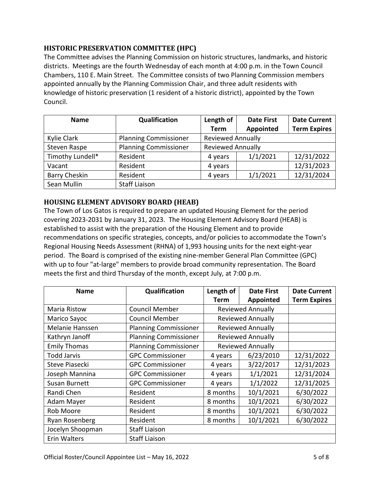#### **HISTORIC PRESERVATION COMMITTEE (HPC)**

The Committee advises the Planning Commission on historic structures, landmarks, and historic districts. Meetings are the fourth Wednesday of each month at 4:00 p.m. in the Town Council Chambers, 110 E. Main Street. The Committee consists of two Planning Commission members appointed annually by the Planning Commission Chair, and three adult residents with knowledge of historic preservation (1 resident of a historic district), appointed by the Town Council.

| <b>Name</b>          | Qualification                | Length of                | <b>Date First</b> | <b>Date Current</b> |
|----------------------|------------------------------|--------------------------|-------------------|---------------------|
|                      |                              | <b>Term</b>              | <b>Appointed</b>  | <b>Term Expires</b> |
| Kylie Clark          | <b>Planning Commissioner</b> | <b>Reviewed Annually</b> |                   |                     |
| Steven Raspe         | <b>Planning Commissioner</b> | <b>Reviewed Annually</b> |                   |                     |
| Timothy Lundell*     | Resident                     | 4 years                  | 1/1/2021          | 12/31/2022          |
| Vacant               | Resident                     | 4 years                  |                   | 12/31/2023          |
| <b>Barry Cheskin</b> | Resident                     | 4 years                  | 1/1/2021          | 12/31/2024          |
| Sean Mullin          | <b>Staff Liaison</b>         |                          |                   |                     |

# **HOUSING ELEMENT ADVISORY BOARD (HEAB)**

The Town of Los Gatos is required to prepare an updated Housing Element for the period covering 2023-2031 by January 31, 2023. The Housing Element Advisory Board (HEAB) is established to assist with the preparation of the Housing Element and to provide recommendations on specific strategies, concepts, and/or policies to accommodate the Town's Regional Housing Needs Assessment (RHNA) of 1,993 housing units for the next eight-year period. The Board is comprised of the existing nine-member General Plan Committee (GPC) with up to four "at-large" members to provide broad community representation. The Board meets the first and third Thursday of the month, except July, at 7:00 p.m.

| <b>Name</b>           | Qualification                | Length of | <b>Date First</b>        | <b>Date Current</b> |
|-----------------------|------------------------------|-----------|--------------------------|---------------------|
|                       |                              | Term      | Appointed                | <b>Term Expires</b> |
| Maria Ristow          | <b>Council Member</b>        |           | <b>Reviewed Annually</b> |                     |
| Marico Sayoc          | <b>Council Member</b>        |           | <b>Reviewed Annually</b> |                     |
| Melanie Hanssen       | <b>Planning Commissioner</b> |           | <b>Reviewed Annually</b> |                     |
| Kathryn Janoff        | <b>Planning Commissioner</b> |           | <b>Reviewed Annually</b> |                     |
| <b>Emily Thomas</b>   | <b>Planning Commissioner</b> |           | <b>Reviewed Annually</b> |                     |
| <b>Todd Jarvis</b>    | <b>GPC Commissioner</b>      | 4 years   | 6/23/2010                | 12/31/2022          |
| <b>Steve Piasecki</b> | <b>GPC Commissioner</b>      | 4 years   | 3/22/2017                | 12/31/2023          |
| Joseph Mannina        | <b>GPC Commissioner</b>      | 4 years   | 1/1/2021                 | 12/31/2024          |
| Susan Burnett         | <b>GPC Commissioner</b>      | 4 years   | 1/1/2022                 | 12/31/2025          |
| Randi Chen            | Resident                     | 8 months  | 10/1/2021                | 6/30/2022           |
| Adam Mayer            | Resident                     | 8 months  | 10/1/2021                | 6/30/2022           |
| Rob Moore             | Resident                     | 8 months  | 10/1/2021                | 6/30/2022           |
| Ryan Rosenberg        | Resident                     | 8 months  | 10/1/2021                | 6/30/2022           |
| Jocelyn Shoopman      | <b>Staff Liaison</b>         |           |                          |                     |
| Erin Walters          | <b>Staff Liaison</b>         |           |                          |                     |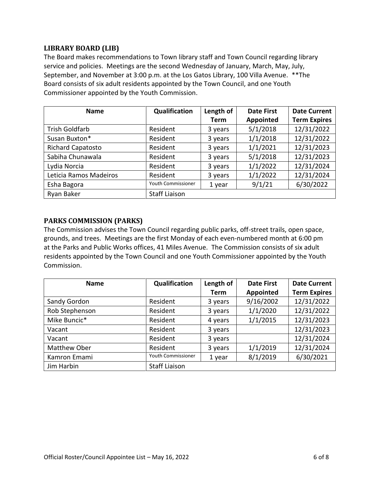#### **LIBRARY BOARD (LIB)**

The Board makes recommendations to Town library staff and Town Council regarding library service and policies. Meetings are the second Wednesday of January, March, May, July, September, and November at 3:00 p.m. at the Los Gatos Library, 100 Villa Avenue. \*\*The Board consists of six adult residents appointed by the Town Council, and one Youth Commissioner appointed by the Youth Commission.

| <b>Name</b>              | Qualification             | Length of   | <b>Date First</b> | <b>Date Current</b> |
|--------------------------|---------------------------|-------------|-------------------|---------------------|
|                          |                           | <b>Term</b> | Appointed         | <b>Term Expires</b> |
| <b>Trish Goldfarb</b>    | Resident                  | 3 years     | 5/1/2018          | 12/31/2022          |
| Susan Buxton*            | Resident                  | 3 years     | 1/1/2018          | 12/31/2022          |
| <b>Richard Capatosto</b> | Resident                  | 3 years     | 1/1/2021          | 12/31/2023          |
| Sabiha Chunawala         | Resident                  | 3 years     | 5/1/2018          | 12/31/2023          |
| Lydia Norcia             | Resident                  | 3 years     | 1/1/2022          | 12/31/2024          |
| Leticia Ramos Madeiros   | Resident                  | 3 years     | 1/1/2022          | 12/31/2024          |
| Esha Bagora              | <b>Youth Commissioner</b> | 1 year      | 9/1/21            | 6/30/2022           |
| Ryan Baker               | <b>Staff Liaison</b>      |             |                   |                     |

#### **PARKS COMMISSION (PARKS)**

The Commission advises the Town Council regarding public parks, off-street trails, open space, grounds, and trees. Meetings are the first Monday of each even-numbered month at 6:00 pm at the Parks and Public Works offices, 41 Miles Avenue. The Commission consists of six adult residents appointed by the Town Council and one Youth Commissioner appointed by the Youth Commission.

| <b>Name</b>         | Qualification             | Length of | <b>Date First</b> | <b>Date Current</b> |
|---------------------|---------------------------|-----------|-------------------|---------------------|
|                     |                           | Term      | <b>Appointed</b>  | <b>Term Expires</b> |
| Sandy Gordon        | Resident                  | 3 years   | 9/16/2002         | 12/31/2022          |
| Rob Stephenson      | Resident                  | 3 years   | 1/1/2020          | 12/31/2022          |
| Mike Buncic*        | Resident                  | 4 years   | 1/1/2015          | 12/31/2023          |
| Vacant              | Resident                  | 3 years   |                   | 12/31/2023          |
| Vacant              | Resident                  | 3 years   |                   | 12/31/2024          |
| <b>Matthew Ober</b> | Resident                  | 3 years   | 1/1/2019          | 12/31/2024          |
| Kamron Emami        | <b>Youth Commissioner</b> | 1 year    | 8/1/2019          | 6/30/2021           |
| Jim Harbin          | <b>Staff Liaison</b>      |           |                   |                     |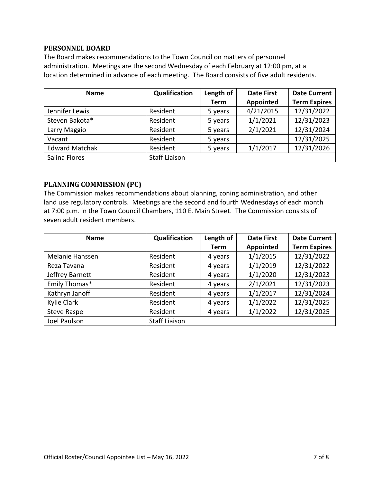#### **PERSONNEL BOARD**

The Board makes recommendations to the Town Council on matters of personnel administration. Meetings are the second Wednesday of each February at 12:00 pm, at a location determined in advance of each meeting. The Board consists of five adult residents.

| <b>Name</b>           | Qualification        | Length of   | <b>Date First</b> | <b>Date Current</b> |
|-----------------------|----------------------|-------------|-------------------|---------------------|
|                       |                      | <b>Term</b> | Appointed         | <b>Term Expires</b> |
| Jennifer Lewis        | Resident             | 5 years     | 4/21/2015         | 12/31/2022          |
| Steven Bakota*        | Resident             | 5 years     | 1/1/2021          | 12/31/2023          |
| Larry Maggio          | Resident             | 5 years     | 2/1/2021          | 12/31/2024          |
| Vacant                | Resident             | 5 years     |                   | 12/31/2025          |
| <b>Edward Matchak</b> | Resident             | 5 years     | 1/1/2017          | 12/31/2026          |
| Salina Flores         | <b>Staff Liaison</b> |             |                   |                     |

#### **PLANNING COMMISSION (PC)**

The Commission makes recommendations about planning, zoning administration, and other land use regulatory controls. Meetings are the second and fourth Wednesdays of each month at 7:00 p.m. in the Town Council Chambers, 110 E. Main Street. The Commission consists of seven adult resident members.

| <b>Name</b>     | Qualification        | Length of   | <b>Date First</b> | <b>Date Current</b> |
|-----------------|----------------------|-------------|-------------------|---------------------|
|                 |                      | <b>Term</b> | <b>Appointed</b>  | <b>Term Expires</b> |
| Melanie Hanssen | Resident             | 4 years     | 1/1/2015          | 12/31/2022          |
| Reza Tavana     | Resident             | 4 years     | 1/1/2019          | 12/31/2022          |
| Jeffrey Barnett | Resident             | 4 years     | 1/1/2020          | 12/31/2023          |
| Emily Thomas*   | Resident             | 4 years     | 2/1/2021          | 12/31/2023          |
| Kathryn Janoff  | Resident             | 4 years     | 1/1/2017          | 12/31/2024          |
| Kylie Clark     | Resident             | 4 years     | 1/1/2022          | 12/31/2025          |
| Steve Raspe     | Resident             | 4 years     | 1/1/2022          | 12/31/2025          |
| Joel Paulson    | <b>Staff Liaison</b> |             |                   |                     |